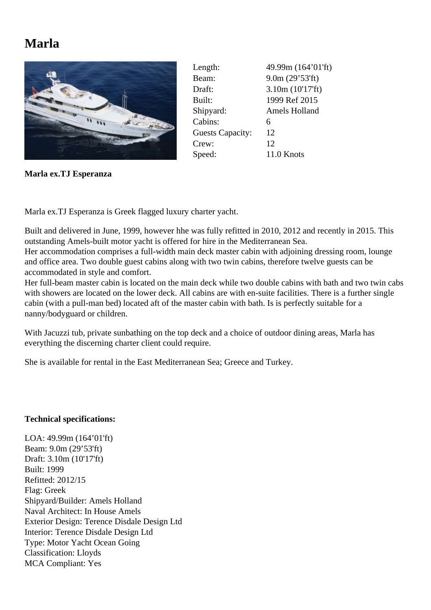## **Marla**



| 49.99m (164'01'ft) |
|--------------------|
| 9.0m(29'53'ft)     |
| 3.10m(10'17'ft)    |
| 1999 Ref 2015      |
| Amels Holland      |
| 6                  |
| 12                 |
| 12                 |
| 11.0 Knots         |
|                    |

**Marla ex.TJ Esperanza**

Marla ex.TJ Esperanza is Greek flagged luxury charter yacht.

Built and delivered in June, 1999, however hhe was fully refitted in 2010, 2012 and recently in 2015. This outstanding Amels-built motor yacht is offered for hire in the Mediterranean Sea.

Her accommodation comprises a full-width main deck master cabin with adjoining dressing room, lounge and office area. Two double guest cabins along with two twin cabins, therefore twelve guests can be accommodated in style and comfort.

Her full-beam master cabin is located on the main deck while two double cabins with bath and two twin cabs with showers are located on the lower deck. All cabins are with en-suite facilities. There is a further single cabin (with a pull-man bed) located aft of the master cabin with bath. Is is perfectly suitable for a nanny/bodyguard or children.

With Jacuzzi tub, private sunbathing on the top deck and a choice of outdoor dining areas, Marla has everything the discerning charter client could require.

She is available for rental in the East Mediterranean Sea; Greece and Turkey.

## **Technical specifications:**

LOA: 49.99m (164'01'ft) Beam: 9.0m (29'53'ft) Draft: 3.10m (10'17'ft) Built: 1999 Refitted: 2012/15 Flag: Greek Shipyard/Builder: Amels Holland Naval Architect: In House Amels Exterior Design: Terence Disdale Design Ltd Interior: Terence Disdale Design Ltd Type: Motor Yacht Ocean Going Classification: Lloyds MCA Compliant: Yes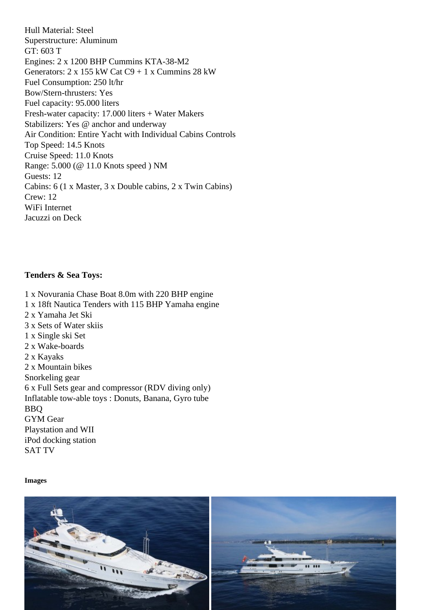Superstructure: Aluminum GT: 603 T Engines: 2 x 1200 BHP Cummins KTA-38-M2 Generators: 2 x 155 kW Cat C9 + 1 x Cummins 28 kW Fuel Consumption: 250 lt/hr Bow/Stern-thrusters: Yes Fuel capacity: 95.000 liters Fresh-water capacity: 17.000 liters + Water Makers Stabilizers: Yes @ anchor and underway Air Condition: Entire Yacht with Individual Cabins Controls Top Speed: 14.5 Knots Cruise Speed: 11.0 Knots Range: 5.000 (@ 11.0 Knots speed ) NM Guests: 12 Cabins: 6 (1 x Master, 3 x Double cabins, 2 x Twin Cabins) Crew: 12 WiFi Internet Jacuzzi on Deck

Tenders & Sea Toys:

1 x Novurania Chase Boat 8.0m with 220 BHP engine 1 x 18ft Nautica Tenders with 115 BHP Yamaha engine 2 x Yamaha Jet Ski 3 x Sets of Water skiis 1 x Single ski Set 2 x Wake-boards 2 x Kayaks 2 x Mountain bikes Snorkeling gear 6 x Full Sets gear and compressor (RDV diving only) Inflatable tow-able toys : Donuts, Banana, Gyro tube BBQ GYM Gear Playstation and WII iPod docking station SAT TV

Images